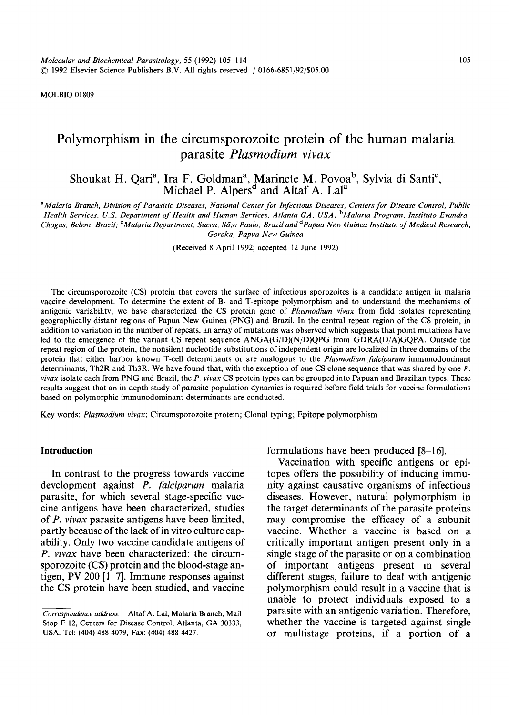MOLBIO 01809

# **Polymorphism in the circumsporozoite protein of the human malaria**  parasite *Plasmodium vivax*

Shoukat H. Qari<sup>a</sup>, Ira F. Goldman<sup>a</sup>, Marinete M. Povoa<sup>o</sup>, Sylvia di Santi<sup>c</sup>, Michael P. Alpers<sup>a</sup> and Altaf A. Lal<sup>a</sup>

*aMalaria Branch, Division of Parasitic Diseases, National Center for Infectious Diseases, Centers for Disease Control, Public Health Services, U.S. Department of Health and Human Services, Atlanta GA, USA, bMalaria Program, lnstituto Evandra Chagas, Belem, Brazil; <sup>c</sup>Malaria Department, Sucen, Sã:o Paulo, Brazil and <sup>d</sup> Papua New Guinea Institute of Medical Research, Goroka, Papua New Guinea* 

(Received 8 April 1992; accepted 12 June 1992)

The circumsporozoite (CS) protein that covers the surface of infectious sporozoites is a candidate antigen in malaria vaccine development. To determine the extent of B- and T-epitope polymorphism and to understand the mechanisms of antigenic variability, we have characterized the CS protein gene of *Plasmodium vivax* from field isolates representing geographically distant regions of Papua New Guinea (PNG) and Brazil. In the central repeat region of the CS protein, in addition to variation in the number of repeats, an array of mutations was observed which suggests that point mutations have led to the emergence of the variant CS repeat sequence ANGA(G/D)(N/D)QPG from GDRA(D/A)GQPA. Outside the repeat region of the protein, the nonsilent nucleotide substitutions of independent origin are localized in three domains of the protein that either harbor known T-cell determinants or are analogous to the *Plasmodium falciparum* immunodominant determinants, Th2R and Th3R. We have found that, with the exception of one CS clone sequence that was shared by one P. *vivax* isolate each from PNG and Brazil, the *P. vivax* CS protein types can be grouped into Papuan and Brazilian types. These results suggest that an in-depth study of parasite population dynamics is required before field trials for vaccine formulations based on polymorphic immunodominant determinants are conducted.

Key words: *Plasmodium vivax;* Circumsporozoite protein; Clonal typing; Epitope polymorphism

#### **Introduction**

In contrast to the progress towards vaccine development against *P. falciparum* malaria parasite, for which several stage-specific vaccine antigens have been characterized, studies of *P. vivax* parasite antigens have been limited, partly because of the lack of in vitro culture capability. Only two vaccine candidate antigens of *P. vivax* have been characterized: the circumsporozoite (CS) protein and the blood-stage antigen, PV 200 [1-7]. Immune responses against the CS protein have been studied, and vaccine

formulations have been produced [8-16].

Vaccination with specific antigens or epitopes offers the possibility of inducing immunity against causative organisms of infectious diseases. However, natural polymorphism in the target determinants of the parasite proteins may compromise the efficacy of a subunit vaccine. Whether a vaccine is based on a critically important antigen present only in a single stage of the parasite or on a combination of important antigens present in several different stages, failure to deal with antigenic polymorphism could result in a vaccine that is unable to protect individuals exposed to a parasite with an antigenic variation. Therefore, whether the vaccine is targeted against single or multistage proteins, if a portion of a

*Correspondence address:* Altaf A. Lal, Malaria Branch, Mail Stop F 12, Centers for Disease Control, Atlanta, GA 30333, USA. Tel: (404) 488 4079, Fax: (404) 488 4427.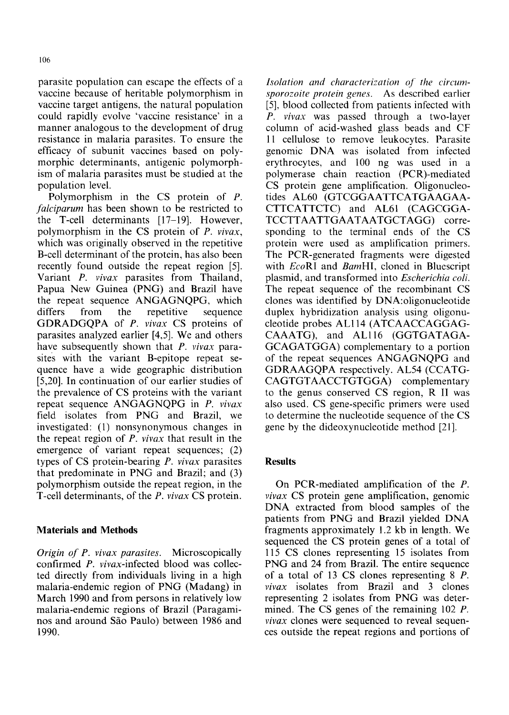parasite population can escape the effects of a vaccine because of heritable polymorphism in vaccine target antigens, the natural population could rapidly evolve 'vaccine resistance' in a manner analogous to the development of drug resistance in malaria parasites. To ensure the efficacy of subunit vaccines based on polymorphic determinants, antigenic polymorphism of malaria parasites must be studied at the population level.

Polymorphism in the CS protein of P. *falciparum* has been shown to be restricted to the T-cell determinants [17-19]. However, polymorphism in the CS protein of *P. vivax,*  which was originally observed in the repetitive B-cell determinant of the protein, has also been recently found outside the repeat region [5]. Variant *P. vivax* parasites from Thailand, Papua New Guinea (PNG) and Brazil have the repeat sequence ANGAGNQPG, which differs from the repetitive sequence GDRADGQPA of *P. vivax* CS proteins of parasites analyzed earlier [4,5]. We and others have subsequently shown that *P. vivax* parasites with the variant B-epitope repeat sequence have a wide geographic distribution [5,20]. In continuation of our earlier studies of the prevalence of CS proteins with the variant repeat sequence ANGAGNQPG in *P. vivax*  field isolates from PNG and Brazil, we investigated: (1) nonsynonymous changes in the repeat region of *P. vivax* that result in the emergence of variant repeat sequences; (2) types of CS protein-bearing *P. vivax* parasites that predominate in PNG and Brazil; and (3) polymorphism outside the repeat region, in the T-cell determinants, of the *P. vivax* CS protein.

## **Materials and Methods**

*Origin of P. vivax parasites.* Microscopically confirmed *P. vivax-infected* blood was collected directly from individuals living in a high malaria-endemic region of PNG (Madang) in March 1990 and from persons in relatively low malaria-endemic regions of Brazil (Paragaminos and around Sao Paulo) between 1986 and 1990.

*Isolation and characterization of the circumsporozoite protein genes.* As described earlier [5], blood collected from patients infected with *P. vivax* was passed through a two-layer column of acid-washed glass beads and CF 11 cellulose to remove leukocytes. Parasite genomic DNA was isolated from infected erythrocytes, and 100 ng was used in a polymerase chain reaction (PCR)-mediated CS protein gene amplification. Oligonucleotides AL60 (GTCGGAATTCATGAAGAA-CTTCATTCTC) and AL61 (CAGCGGA-TCCTTAATTGAATAATGCTAGG) corresponding to the terminal ends of the CS protein were used as amplification primers. The PCR-generated fragments were digested with *EcoRI* and *BamHI,* cloned in Bluescript plasmid, and transformed into *Escherichia coli.*  The repeat sequence of the recombinant CS clones was identified by DNA:oligonucleotide duplex hybridization analysis using oligonucleotide probes ALl 14 (ATCAACCAGGAG-CAAATG), and AL116 (GGTGATAGA-GCAGATGGA) complementary to a portion of the repeat sequences ANGAGNQPG and GDRAAGQPA respectively. AL54 (CCATG-CAGTGTAACCTGTGGA) complementary to the genus conserved CS region, R II was also used. CS gene-specific primers were used to determine the nucleotide sequence of the CS gene by the dideoxynucleotide method [21].

# **Results**

On PCR-mediated amplification of the P. *vivax* CS protein gene amplification, genomic DNA extracted from blood samples of the patients from PNG and Brazil yielded DNA fragments approximately 1.2 kb in length. We sequenced the CS protein genes of a total of 115 CS clones representing 15 isolates from PNG and 24 from Brazil. The entire sequence of a total of 13 CS clones representing 8 P. *vivax* isolates from Brazil and 3 clones representing 2 isolates from PNG was determined. The CS genes of the remaining 102 P. *vivax* clones were sequenced to reveal sequences outside the repeat regions and portions of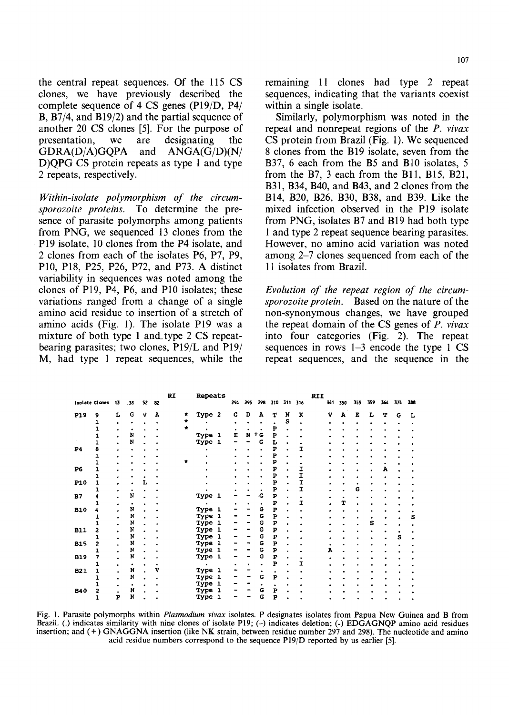**the central repeat sequences. Of the 115 CS clones, we have previously described the complete sequence of 4 CS genes (P19/D, P4/ B.** B7/4, and B19/2) and the partial sequence of **another 20 CS clones [5]. For the purpose of presentation, we are designating the GDRA(D/A)GQPA and** *ANGA(G/D)(N/*  **D)QPG CS protein repeats as type 1 and type 2 repeats, respectively.** 

*Within-isolate polymorphism of the circumsporozoite proteins.* **To determine the presence of parasite polymorphs among patients from PNG, we sequenced 13 clones from the P19 isolate, 10 clones from the P4 isolate, and 2 clones from each of the isolates P6, P7, P9, P10, P18, P25, P26, P72, and P73. A distinct variability in sequences was noted among the clones of P19, P4, P6, and P10 isolates; these variations ranged from a change of a single amino acid residue to insertion of a stretch of amino acids (Fig. 1). The isolate P19 was a mixture of both type 1 and\_type 2 CS repeatbearing parasites; two clones, P19/L and P19/ M, had type 1 repeat sequences, while the** 

**remaining 11 clones had type 2 repeat sequences, indicating that the variants coexist within a single isolate.** 

**Similarly, polymorphism was noted in the repeat and nonrepeat regions of the** *P. vivax*  **CS protein from Brazil (Fig. 1). We sequenced 8 clones from the B19 isolate, seven from the B37, 6 each from the B5 and B10 isolates, 5 from the B7, 3 each from the B11, B15, B21, B31, B34, B40, and B43, and 2 clones from the B14, B20, B26, B30, B38, and B39. Like the mixed infection observed in the P19 isolate**  from PNG, isolates B7 and B19 had both type **1 and type 2 repeat sequence bearing parasites. However, no amino acid variation was noted among 2-7 clones sequenced from each of the 11 isolates from Brazil.** 

*Evolution of the repeat region of the circumsporozoite protein.* **Based on the nature of the non-synonymous changes, we have grouped the repeat domain of the CS genes of** *P. vivax*  **into four categories (Fig. 2). The repeat sequences in rows 1-3 encode the type 1 CS repeat sequences, and the sequence in the** 

|                   |   |   |      |    |    | RI | Repeats        |              |     |   |                     |    |   |   | <b>RII</b> |   |         |     |     |     |     |     |
|-------------------|---|---|------|----|----|----|----------------|--------------|-----|---|---------------------|----|---|---|------------|---|---------|-----|-----|-----|-----|-----|
| Isolate Clones 13 |   |   | , 38 | 52 | 82 |    |                |              | 294 |   | 295 298 310 311 316 |    |   |   |            |   | 341 350 | 355 | 359 | 364 | 374 | 388 |
| P19               | 9 | L | G    | v  | A  |    | Type 2         |              | G   | D | A                   | Т  | N | ĸ |            | v | A       | Е   |     |     | G   | L   |
|                   |   |   |      |    |    |    |                |              |     |   |                     |    | s |   |            |   |         |     |     |     |     |     |
|                   |   |   |      |    |    |    |                |              |     |   |                     | Р  |   |   |            |   |         |     |     |     |     |     |
|                   |   |   | N    |    |    |    | Type           | -1           | E   | N | † G                 | P  |   |   |            |   |         |     |     |     |     |     |
|                   |   |   | N    |    |    |    | Type 1         |              |     |   | G                   | τ. |   |   |            |   |         |     |     |     |     |     |
| P4                | 8 |   |      |    |    |    |                |              |     |   |                     | P  |   |   |            |   |         |     |     |     |     |     |
|                   |   |   |      |    |    |    |                |              |     |   |                     | P  |   |   |            |   |         |     |     |     |     |     |
|                   |   |   |      |    |    |    |                |              |     |   |                     | P  |   |   |            |   |         |     |     |     |     |     |
| P6                |   |   |      |    |    |    |                |              |     |   |                     | P  |   |   |            |   |         |     |     |     |     |     |
|                   |   |   |      |    |    |    |                |              |     |   |                     | P  |   |   |            |   |         |     |     |     |     |     |
| P <sub>10</sub>   |   |   |      |    |    |    |                |              |     |   |                     | P  |   |   |            |   |         |     |     |     |     |     |
|                   |   |   |      |    |    |    |                |              |     |   |                     | P  |   |   |            |   |         | G   |     |     |     |     |
| В7                |   |   | N    |    |    |    | Type 1         |              |     |   | G                   | P  |   |   |            |   |         |     |     |     |     |     |
|                   |   |   |      |    |    |    |                |              |     |   |                     | ₽  |   | Ι |            |   |         |     |     |     |     |     |
| <b>B10</b>        |   |   | N    |    |    |    | Type 1         |              |     |   | G                   | ₽  |   |   |            |   |         |     |     |     |     |     |
|                   |   |   | N    |    |    |    | Type           | 1            |     |   | G                   | P  |   |   |            |   |         |     |     |     |     | s   |
|                   |   |   | N    |    |    |    | Type 1         |              |     |   | G                   | P  |   |   |            |   |         |     | s   |     |     |     |
| <b>B11</b>        |   |   | N    |    |    |    | Туре           | -1           |     |   | G                   | P  |   |   |            |   |         |     |     |     |     |     |
|                   |   |   | N    |    |    |    |                |              |     |   | G                   | P  |   |   |            |   |         |     |     |     |     |     |
|                   |   |   | N    |    |    |    | Type 1<br>Type | -1           |     |   | G                   | P  |   |   |            |   |         |     |     |     | s   |     |
| <b>B15</b>        |   |   | N    |    |    |    |                | -1           |     |   |                     |    |   |   |            |   |         |     |     |     |     |     |
|                   |   |   | N    |    |    |    | Туре           |              |     |   | G<br>G              | P  |   |   |            |   |         |     |     |     |     |     |
| <b>B19</b>        |   |   |      |    |    |    | Type 1         |              |     |   |                     | P  |   |   |            |   |         |     |     |     |     |     |
|                   |   |   |      |    |    |    | ٠              |              |     |   |                     | P  |   |   |            |   |         |     |     |     |     |     |
| <b>B21</b>        |   |   | N    |    | V  |    | Type 1         |              |     |   |                     |    |   |   |            |   |         |     |     |     |     |     |
|                   |   |   | N    |    |    |    | Type           | $\mathbf{1}$ |     |   | G                   | P  |   |   |            |   |         |     |     |     |     |     |
|                   |   |   |      |    |    |    | Type           | -1           |     |   |                     |    |   |   |            |   |         |     |     |     |     |     |
| <b>B40</b>        |   |   | N    |    |    |    | Type           | 1            |     |   | G                   | P  |   |   |            |   |         |     |     |     |     |     |
|                   |   | P | N    |    |    |    | Type 1         |              |     |   | G                   | P  |   |   |            |   |         |     |     |     |     |     |

**Fig. 1. Parasite polymorphs within** *Plasmodium vivax* **isolates. P designates isolates from Papua New Guinea and B from Brazil. (.) indicates similarity with nine clones of isolate P19; (-) indicates deletion; (.) EDGAGNQP amino acid residues insertion; and** (+) GNAGGNA **insertion (like NK strain, between residue number 297 and 298). The nucleotide and amino acid residue numbers correspond to the sequence P19/D reported by us earlier** [5].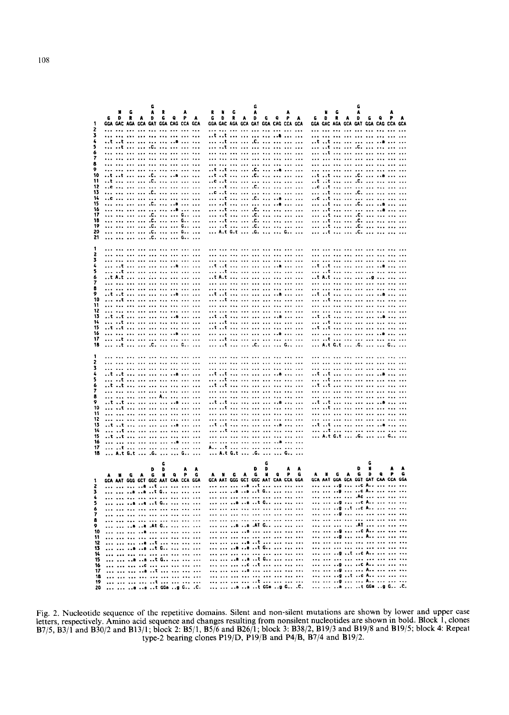G  $\pmb{h}$  $\frac{8}{6}$  $\frac{\lambda}{P}$  $\overset{\mathbf{A}}{\mathbf{D}}$ ö  $\mathbf{c}$  $\bullet$ G D R A D G Q P A<br>GGA GAC AGA GCA GAT GGA CAG CCA GCA GGA GAC AGA GCA GAT GGA CAG CCA GCA GGA GAC AGA GCA GAT GGA CAG CCA GCA ... ... ... ... ... ... ... ... ...<br>... ... ... ... ... ... ... ... ... 2<br>3<br>4<br>5 ... ... ... ... ... ... ... ... ... ... 10 12<br>13<br>14<br>15 16<br>17<br>18<br>19 20 ... ... ... ... .0. ... ... 6.. ... ... ... ... ... ... ... ... ... ... ... ... ... ... ... ... ... ... ... ... ... 10 ... ... ... ... ... ... ... ... ... ... ... ... ... ... ... ... ... ... ... 12<br>13<br>14<br>15  $...$   $...$   $...$   $...$   $...$   $...$   $...$   $...$ ... ... ... ... ... ... ... ... ... is ... A.t G.t ... .G. ... ... G. ... ... ... ... ... ... ... ... ... ... ... ... ... ... ... ... ... ... ... ... ... ... ... ... ... ... ... ... ... ... ... ... ... ... ... ... ... ... ... ... ... ... ... ... ... ... ... ... ...  $\begin{minipage}{.4\linewidth} \begin{minipage}{.4\linewidth} \begin{tabular}{l} \hline \textbf{11} & \textbf{12} & \textbf{13} & \textbf{14} & \textbf{15} & \textbf{16} & \textbf{17} \\ \textbf{23} & \textbf{34} & \textbf{15} & \textbf{16} & \textbf{17} & \textbf{18} & \textbf{18} & \textbf{18} \\ \textbf{35} & \textbf{18} & \textbf{18} & \textbf{18} & \textbf{18} & \textbf{18} & \textbf{18} & \textbf{18} & \$ ... ... ... ... ... ... ... ... ... ... ... ... ... ... ... ... ... ... ... 112131415161718 ... ..t ... ... ... ... ... ... ...<br>... A.t G.t ... .G. ... ... G.. ... G A A O O A A<br>A N O A O D O P O<br>GCA AT GGA GCA GCA GCA T GAT CAA CA CA GGA  $\frac{D}{G}$  $\overline{a}$  $\frac{A}{P}$  $\bullet$ A N G A G N Q P G<br>GCA AAT GGG GCT GGC AAT CAA CCA GGA  $10.01 \text{ and } 0.01 \text{ and } 0.01 \text{ and } 0.01 \text{ and } 0.02 \text{ and } 0.03 \text{ and } 0.04 \text{ and } 0.01 \text{ and } 0.01 \text{ and } 0.01 \text{ and } 0.01 \text{ and } 0.01 \text{ and } 0.01 \text{ and } 0.01 \text{ and } 0.01 \text{ and } 0.01 \text{ and } 0.01 \text{ and } 0.01 \text{ and } 0.01 \text{ and } 0.01 \text{ and } 0.01 \text{ and } 0.01 \text{ and }$  $\frac{2}{3}$ ... ... ... ... ... ... ... ... ...<br>... ... ... ... ... ... ... ... ... ... ... ... ... ... ... ... ... ...  $... ... ...$  $\begin{array}{c} 10 \\ 11 \end{array}$  $\begin{array}{c} 14 \\ 15 \end{array}$ 16<br>17 18<br>19<br>20 

Fig. 2. Nucleotide sequence of the repetitive domains. Silent and non-silent mutations are shown by lower and upper case letters, respectively. Amino acid sequence and changes resulting from nonsilent nucleotides are shown in bold. Block 1, clones B7/5, B3/1 and B30/2 and B13/1; block 2: B5/1, B5/6 and B26/1; block 3: B38/2, B19/3 and B19/8 and B19/5; block 4: Repeat type-2 bearing clones  $P19/D$ ,  $P19/B$  and  $P4/B$ ,  $B7/4$  and  $B19/2$ .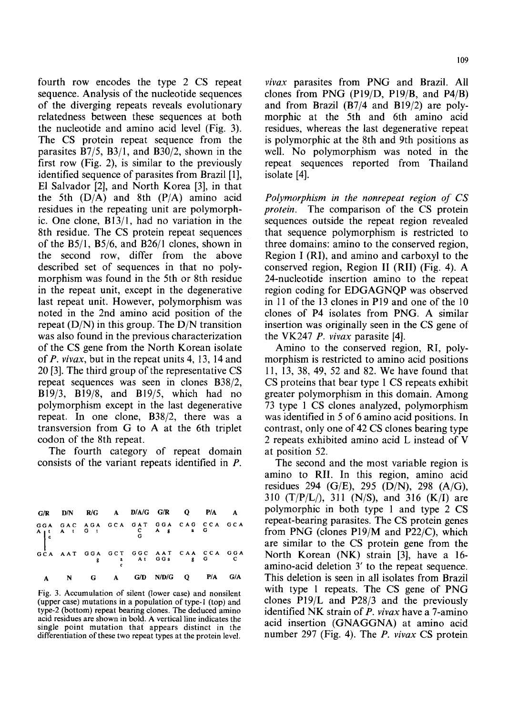fourth row encodes the type 2 CS repeat sequence. Analysis of the nucleotide sequences of the diverging repeats reveals evolutionary relatedness between these sequences at both the nucleotide and amino acid level (Fig. 3). The CS protein repeat sequence from the parasites B7/5, B3/1, and B30/2, shown in the first row (Fig. 2), is similar to the previously identified sequence of parasites from Brazil [1], El Salvador [2], and North Korea [3], in that the 5th (D/A) and 8th (P/A) amino acid residues in the repeating unit are polymorphic. One clone, BI3/1, had no variation in the 8th residue. The CS protein repeat sequences of the B5/1, B5/6, and B26/1 clones, shown in the second row, differ from the above described set of sequences in that no polymorphism was found in the 5th or 8th residue in the repeat unit, except in the degenerative last repeat unit. However, polymorphism was noted in the 2nd amino acid position of the repeat  $(D/N)$  in this group. The  $D/N$  transition was also found in the previous characterization of the CS gene from the North Korean isolate of *P. vivax,* but in the repeat units 4, 13, 14 and 20 [3]. The third group of the representative CS repeat sequences was seen in clones B38/2, Bl9/3, B19/8, and B19/5, which had no polymorphism except in the last degenerative repeat. In one clone, B38/2, there was a transversion from G to A at the 6th triplet codon of the 8th repeat.

The fourth category of repeat domain consists of the variant repeats identified in P.

|  |  | $G/R$ $D/N$ $R/G$ A $D/A/G$ $G/R$ Q $P/A$ A                                                                                                 |  |  |
|--|--|---------------------------------------------------------------------------------------------------------------------------------------------|--|--|
|  |  | GGA GAC AGA GCA GAT GGA CAG CCA GCA<br>$A \begin{bmatrix} 1 & A & I & G & I \\ 1 & & & & G \\ 1 & & & & & G \\ 1 & & & & & G \end{bmatrix}$ |  |  |
|  |  | GCA AAT GGA GCT GGC AAT CAA CCA GGA<br>a At GGa g G                                                                                         |  |  |
|  |  | A N G A G/D N/D/G Q P/A G/A                                                                                                                 |  |  |

Fig. 3. Accumulation of silent (lower case) and nonsilent (upper case) mutations in a population of type-1 (top) and type-2 (bottom) repeat bearing clones. The deduced amino acid residues are shown in bold. A vertical line indicates the single point mutation that appears distinct in the differentiation of these two repeat types at the protein level.

*vivax* parasites from PNG and Brazil. All clones from PNG (P19/D, P19/B, and P4/B) and from Brazil (B7/4 and B19/2) are polymorphic at the 5th and 6th amino acid residues, whereas the last degenerative repeat is polymorphic at the 8th and 9th positions as well. No polymorphism was noted in the repeat sequences reported from Thailand isolate [4].

*Polymorphism in the nonrepeat region of CS protein.* The comparison of the CS protein sequences outside the repeat region revealed that sequence polymorphism is restricted to three domains: amino to the conserved region, Region I (RI), and amino and carboxyl to the conserved region, Region II (RII) (Fig. 4). A 24-nucleotide insertion amino to the repeat region coding for EDGAGNQP was observed in 11 of the 13 clones in P19 and one of the 10 clones of P4 isolates from PNG. A similar insertion was originally seen in the CS gene of the VK247 *P. vivax* parasite [4].

Amino to the conserved region, RI, polymorphism is restricted to amino acid positions 11, 13, 38, 49, 52 and 82. We have found that CS proteins that bear type 1 CS repeats exhibit greater polymorphism in this domain. Among 73 type 1 CS clones analyzed, polymorphism was identified in 5 of 6 amino acid positions. In contrast, only one of 42 CS clones bearing type 2 repeats exhibited amino acid L instead of V at position 52.

The second and the most variable region is amino to RII. In this region, amino acid residues 294 (G/E), 295 (D/N), 298 (A/G), 310  $(T/P/L)$ , 311 (N/S), and 316 (K/I) are polymorphic in both type 1 and type 2 CS repeat-bearing parasites. The CS protein genes from PNG (clones P19/M and P22/C), which are similar to the CS protein gene from the North Korean (NK) strain [3], have a 16 amino-acid deletion 3' to the repeat sequence. This deletion is seen in all isolates from Brazil with type 1 repeats. The CS gene of PNG clones P19/L and P28/3 and the previously identified NK strain of *P. vivax* have a 7-amino acid insertion (GNAGGNA) at amino acid number 297 (Fig. 4). The *P. vivax* CS protein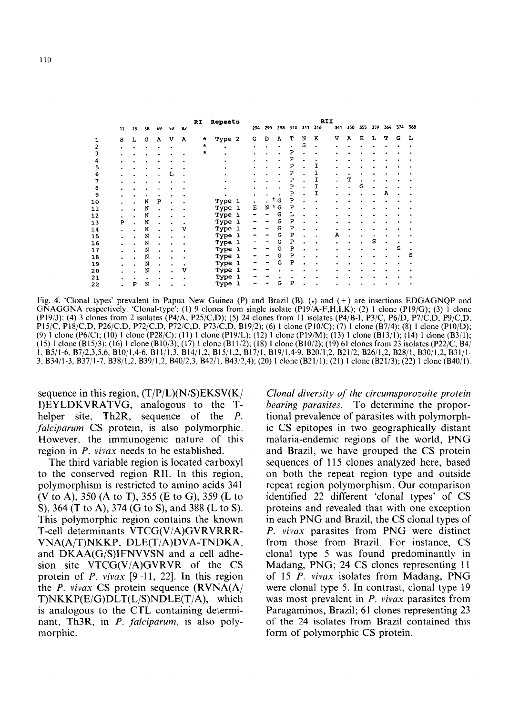|    |    |    |    |    |    |    | RI      | Repeats |  |   |         |           |             | RII         |   |   |                 |   |   |         |   |     |  |
|----|----|----|----|----|----|----|---------|---------|--|---|---------|-----------|-------------|-------------|---|---|-----------------|---|---|---------|---|-----|--|
|    | 11 | 13 | 38 | 49 | 52 | 82 |         |         |  |   | 294 295 | 298       |             | 310 311 316 |   |   | 341 350 355 359 |   |   | 364 374 |   | 388 |  |
|    | s  | L  | G  | A  | v  | A  | *       | Type 2  |  | G | D       | A         | т           | N           | ĸ | v | A               | Е | L | т       | G | L   |  |
| 2  |    |    |    |    |    |    | ×       |         |  |   |         |           |             | s           |   |   |                 |   |   |         |   |     |  |
| 3  |    |    |    |    |    |    | $\star$ |         |  |   |         |           | Ρ           |             |   |   |                 |   |   |         |   |     |  |
| 4  |    |    |    |    |    |    |         |         |  |   |         |           | P           |             |   |   |                 |   |   |         |   |     |  |
| 5  |    |    |    |    |    |    |         |         |  |   |         |           | P           |             |   |   |                 |   |   |         |   |     |  |
| 6  |    |    |    |    | L  |    |         |         |  |   |         |           | P           |             |   |   |                 |   |   |         |   |     |  |
| 7  |    |    |    |    |    |    |         |         |  |   |         |           | P           |             |   |   | т               |   |   |         |   |     |  |
| 8  |    |    |    |    |    |    |         |         |  |   |         |           | P           |             | Ι |   |                 | G |   |         |   |     |  |
| 9  |    |    |    |    |    |    |         |         |  |   |         | $\bullet$ | P           |             | I |   |                 |   |   | А       |   |     |  |
| 10 |    |    | N  | P  |    |    |         | Type 1  |  |   |         | † G       | P           |             |   |   |                 |   |   |         |   |     |  |
| 11 |    |    | N  |    |    |    |         | Type 1  |  | E | N       | + G       | P           |             |   |   |                 |   |   |         |   |     |  |
| 12 |    |    | N  |    |    |    |         | Type 1  |  |   |         | G         | r           |             |   |   |                 |   |   |         |   |     |  |
| 13 | P  |    | N  |    |    |    |         | Type 1  |  |   |         | G         | P           |             |   |   |                 |   |   |         |   |     |  |
| 14 |    |    | N  |    |    | v  |         | Type 1  |  |   |         | G         | P           |             |   |   |                 |   |   |         |   |     |  |
| 15 |    |    | N  |    |    |    |         | Type 1  |  |   |         | G         | $\mathbf P$ |             |   | A |                 |   |   |         |   |     |  |
| 16 |    |    | N  |    |    |    |         | Type 1  |  |   |         | G         | P           |             |   |   |                 |   | s |         |   |     |  |
|    |    |    | N  |    |    |    |         | Type 1  |  |   |         | G         | ₽           |             |   |   |                 |   |   |         | s |     |  |
| 17 |    |    | N  |    |    |    |         | Type 1  |  |   |         | G         | P           |             |   |   |                 |   |   |         |   | s   |  |
| 18 |    |    |    |    |    |    |         |         |  |   |         | G         | P           |             |   |   |                 |   |   |         |   |     |  |
| 19 |    |    | N  |    |    | v  |         | Type 1  |  |   |         |           |             |             |   |   |                 |   |   |         |   |     |  |
| 20 |    |    | N  |    |    |    |         | Type 1  |  |   |         |           |             |             |   |   |                 |   |   |         |   |     |  |
| 21 |    |    |    |    |    |    |         | Type 1  |  |   |         | G         | P           |             |   |   |                 |   |   |         |   |     |  |
| 22 |    | P  | N  |    |    |    |         | Type 1  |  |   |         |           |             |             |   |   |                 |   |   |         |   |     |  |

Fig. 4. 'Clonal **types' prevalent in Papua New Guinea (P) and Brazil** (B). (,) and (+) **are insertions EDGAGNQP and GNAGGNA respectively.** 'Clonal-type': (1) 9 **clones from single isolate** (PI9/A-F,H,I,K); (2) 1 clone (PI9/G); (3) 1 **clone**  (PI9/J); (4) 3 **clones from 2 isolates** (P4/A, P25/C,D); (5) 24 **clones from 11 isolates** (P4/B-I, P3/C, P6/D, P7/C,D, P9/C,D, P15/C, P18/C,D, P26/C,D, P72/C,D, P72/C,D, P73/C,D, B19/2); (6) I clone (PI0/C); (7) 1 clone (B7/4); (8) 1 clone (PI0/D); (9) 1 clone (P6/C); (10) 1 clone (P28/C); (11) 1 clone (P19/L); (12) 1 clone (P19/M); (13) 1 clone (B13/1); (14) 1 clone (B3/1); (15) 1 clone (B15/3); (16) I clone (BI0/3); (17) 1 clone (BI 1/2); (18) 1 clone (B10/2); (19) 61 **clones from 23 isolates** (P22/C, B4/ 1, B5/1-6, B7/2,3,5,6, B10/1,4-6, B11/1,3, B14/1,2, B15/1,2, B17/1, B19/1,4-9, B20/1,2, B21/2, B26/1,2, B28/1, B30/1,2, B31/1- 3, B34/1-3, B37/1-7, B38/1,2, B39/1,2, B40/2,3, B42/1, B43/2,4); (20) 1 clone (B21/1); (21) 1 clone (B21/3); (22) 1 clone (B40/1).

**sequence in this region, (T/P/L)(N/S)EKSV(K/ I)EYLDKVRATVG, analogous to the Thelper site, Th2R, sequence of the P.**  *falciparum* **CS protein, is also polymorphic. However, the immunogenic nature of this region in** *P. vivax* **needs to be established.** 

**The third variable region is located carboxyl to the conserved region RII. In this region, polymorphism is restricted to amino acids 341 (V to A), 350 (A to T), 355 (E to G), 359 (L to S), 364 (T to A), 374 (G to S), and 388 (L to S). This polymorphic region contains the known T-cell determinants VTCG(V/A)GVRVRRR-VNA(A/T)NKKP, DLE(T/A)DVA-TNDKA, and DKAA(G/S)IFNVVSN and a cell adhesion site VTCG(V/A)GVRVR of the CS protein of** *P. vivax* **[9-11, 22]. In this region the** *P. vivax* **CS protein sequence (RVNA(A/ T)NKKP(E/G)DLT(L/S)NDLE(T/A), which is analogous to the CTL containing determinant, Th3R, in** *P. falciparum,* **is also polymorphic.** 

*Clonal diversity of the circumsporozoite protein bearing parasites.* **To determine the proportional prevalence of parasites with polymorphic CS epitopes in two geographically distant malaria-endemic regions of the world, PNG and Brazil, we have grouped the CS protein sequences of 115 clones analyzed here, based on both the repeat region type and outside repeat region polymorphism. Our comparison identified 22 different 'clonal types' of CS proteins and revealed that with one exception in each PNG and Brazil, the CS clonal types of**  *P. vivax* **parasites from PNG were distinct from those from Brazil. For instance, CS clonal type 5 was found predominantly in Madang, PNG; 24 CS clones representing 11 of 15** *P. vivax* **isolates from Madang, PNG were clonal type 5. In contrast, clonal type 19 was most prevalent in** *P. vivax* **parasites from Paragaminos, Brazil; 61 clones representing 23 of the 24 isolates from Brazil contained this form of polymorphic CS protein.**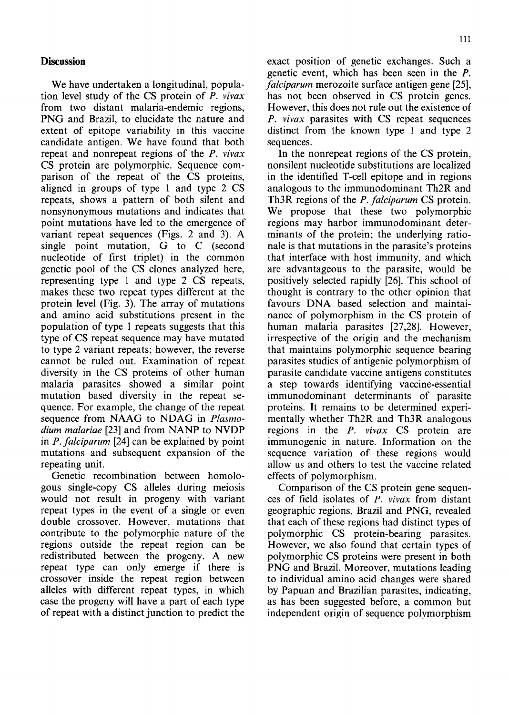## **Discussion**

We have undertaken a longitudinal, population level study of the CS protein of *P. vivax*  from two distant malaria-endemic regions, PNG and Brazil, to elucidate the nature and extent of epitope variability in this vaccine candidate antigen. We have found that both repeat and nonrepeat regions of the *P. vivax*  CS protein are polymorphic. Sequence comparison of the repeat of the CS proteins, aligned in groups of type 1 and type 2 CS repeats, shows a pattern of both silent and nonsynonymous mutations and indicates that point mutations have led to the emergence of variant repeat sequences (Figs. 2 and 3). A single point mutation, G to C (second nucleotide of first triplet) in the common genetic pool of the CS clones analyzed here, representing type 1 and type 2 CS repeats, makes these two repeat types different at the protein level (Fig. 3). The array of mutations and amino acid substitutions present in the population of type 1 repeats suggests that this type of CS repeat sequence may have mutated to type 2 variant repeats; however, the reverse cannot be ruled out. Examination of repeat diversity in the CS proteins of other human malaria parasites showed a similar point mutation based diversity in the repeat sequence. For example, the change of the repeat sequence from NAAG to NDAG in *Plasmodium malariae* [23] and from NANP to NVDP in *P. falciparum* [24] can be explained by point mutations and subsequent expansion of the repeating unit.

Genetic recombination between homologous single-copy CS alleles during meiosis would not result in progeny with variant repeat types in the event of a single or even double crossover. However, mutations that contribute to the polymorphic nature of the regions outside the repeat region can be redistributed between the progeny. A new repeat type can only emerge if there is crossover inside the repeat region between alleles with different repeat types, in which case the progeny will have a part of each type of repeat with a distinct junction to predict the

exact position of genetic exchanges. Such a genetic event, which has been seen in the P. *falciparum* merozoite surface antigen gene [25], has not been observed in CS protein genes. However, this does not rule out the existence of *P. vivax* parasites with CS repeat sequences distinct from the known type 1 and type 2 sequences.

In the nonrepeat regions of the CS protein, nonsilent nucleotide substitutions are localized in the identified T-cell epitope and in regions analogous to the immunodominant Th2R and Th3R regions of the *P. falciparum* CS protein. We propose that these two polymorphic regions may harbor immunodominant determinants of the protein; the underlying rationale is that mutations in the parasite's proteins that interface with host immunity, and which are advantageous to the parasite, would be positively selected rapidly [26]. This school of thought is contrary to the other opinion that favours DNA based selection and maintainance of polymorphism in the CS protein of human malaria parasites [27,28]. However, irrespective of the origin and the mechanism that maintains polymorphic sequence bearing parasites studies of antigenic polymorphism of parasite candidate vaccine antigens constitutes a step towards identifying vaccine-essential immunodominant determinants of parasite proteins. It remains to be determined experimentally whether Th2R and Th3R analogous regions in the *P. vivax* CS protein are immunogenic in nature. Information on the sequence variation of these regions would allow us and others to test the vaccine related effects of polymorphism.

Comparison of the CS protein gene sequences of field isolates of *P. vivax* from distant geographic regions, Brazil and PNG, revealed that each of these regions had distinct types of polymorphic CS protein-bearing parasites. However, we also found that certain types of polymorphic CS proteins were present in both PNG and Brazil. Moreover, mutations leading to individual amino acid changes were shared by Papuan and Brazilian parasites, indicating, as has been suggested before, a common but independent origin of sequence polymorphism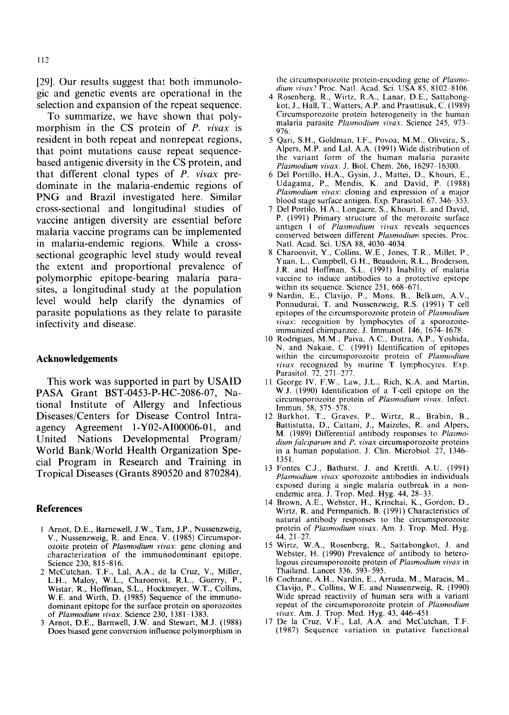[29]. Our results suggest that both immunologic and genetic events are operational in the selection and expansion of the repeat sequence.

To summarize, we have shown that polymorphism in the CS protein of *P. vivax* is resident in both repeat and nonrepeat regions, that point mutations cause repeat sequencebased antigenic diversity in the CS protein, and that different clonal types of *P. vivax* predominate in the malaria-endemic regions of PNG and Brazil investigated here. Similar cross-sectional and longitudinal studies of vaccine antigen diversity are essential before malaria vaccine programs can be implemented in malaria-endemic regions. While a crosssectional geographic level study would reveal the extent and proportional prevalence of polymorphic epitope-bearing malaria parasites, a longitudinal study at the population level would help clarify the dynamics of parasite populations as they relate to parasite infectivity and disease.

### **Acknowledgements**

This work was supported in part by USAID PASA Grant BST-0453-P-HC-2086-07, National Institute of Allergy and Infectious Diseases/Centers for Disease Control Intraagency Agreement 1-Y02-AI00006-01, and United Nations Developmental Program/ World Bank/World Health Organization Special Program in Research and Training in Tropical Diseases (Grants 890520 and 870284).

### **References**

- 1 Arnot, D.E., Barnewell, J.W., Tam, J.P., Nussenzweig, V., Nussenzweig, R. and Enea, V. (1985) Circumsporozoite protein of *Plasmodiurn vivax:* gene cloning and characterization of the immunodominant epitope. Science 230, 815-816.
- 2 McCutchan, T.F., Lal, A.A., de la Cruz, V., Miller, L.H., Maloy, W.L., Charoenvit, R.L., Guerry, P., Wistar, R., Hoffman, S.L., Hockmeyer, W.T., Collins, W.E. and Wirth, D. (1985) Sequence of the immunodominant epitope for the surface protein on sporozoites of Plasmodium vivax. Science 230, 1381-1383.
- 3 Arnot, D.E., Barnwell, J.W. and Stewart, M.J. (1988) Does biased gene conversion influence polymorphism in

the circumsporozoite protein-encoding gene of *Plasmodium vivax?* Proc. Natl. Acad. Sci. USA 85, 8102-8106.

- 4 Rosenberg, R., Wirtz, R.A., Lanar, D.E., Sattabongkot, J., Hall, T., Watters, A.P. and Prasittisuk, C. (1989) Circumsporozoite protein heterogeneity in the human malaria parasite *Plasmodium vivax.* Science 245, 973 976.
- 5 Qari, S.H., Goldman, I.F., Povoa, M.M., Oliveira, S., Alpers, M.P. and Lal, A,A. (1991) Wide distribution of the variant form of the human malaria parasite *Plasmodium vivax.* J. Biol. Chem. 266, 16297-16300.
- 6 Del Portillo, H.A., Gysin, J., Mattei, D., Khouri, E., Udagama, P., Mendis, K. and David, P. (1988) *Plasmodium vivax:* cloning and expression of a major blood stage surface antigen. Exp. Parasitol. 67, 346–353.
- 7 Del Portilo, H.A., Longacre, S., Khouri, E. and David, P. (1991) Primary structure of the merozoite surface antigen 1 of *Plasmodium vivax* reveals sequences conserved between different *Plasmodium* species. Proc. Natl. Acad. Sci. USA 88, 4030-4034.
- 8 Charoenvit, Y., Collins, W.E,, Jones, T.R., Millet, P., Yuan, L., Campbell, G.H., Beaudoin, R.L., Broderson, J,R. and Hoffman, S.L. (1991) Inability of malaria vaccine to induce antibodies to a protective epitope within its sequence. Science 251, 668-671.
- 9 Nardin, E., Clavijo, P., Mons, B., Belkum, A.V., Ponnudurai, T. and Nussenzweig, R.S. (1991) T cell epitopes of the circumsporozoite protein of *Plasmodium vivax:* recognition by lymphocytes of a sporozoiteimmunized chimpanzee. J. lmmunol. 146, 1674-1678.
- 10 Rodrigues, M.M., Paiva, A.C., Dutra, A.P., Yoshida, N. and Nakaie, C. (1991) Identification of epitopes within the circumsporozoite protein of *Plasmodium vivax* recognized by murine T lymphocytes. Exp. Parasitol. 72, 271-277.
- 11 George IV, F.W., Law, J.L., Rich, K.A. and Martin, W.J. (1990) Identification of a T-cell epitope on the circumsporozoite protein of *Plasmodium vivax.* Infect. Immun. 58, 575-578.
- 12 Burkhot, T., Graves, P., Wirtz, R., Brabin, B., Battistutta, D., Cattani, J., Maizeles, R. and Alpers, M. (1989) Differential antibody responses to *Plasmodium falciparum* and *P. vivax* circumsporozoite proteins in a human population. J. Clin. Microbiol. 27, 1346- 1351.
- 13 Fontes C.J., Bathurst, J. and Krettli, A.U. (1991) *Plasmodium vivax* sporozoite antibodies in individuals exposed during a single malaria outbreak in a nonendemic area. J. Trop. Med. Hyg. 44, 28-33.
- 14 Brown, A.E., Webster, H., Krinchai, K., Gordon, D., Wirtz, R. and Permpanich, B. (1991) Characteristics of natural antibody responses to the circumsporozoite protein of *Plasmodium vivax.* Am. J. Trop. Med. Hyg. 44, 21-27.
- 15 Wirtz, W.A., Rosenberg, R., Sattabongkot, J. and Webster, H. (1990) Prevalence of antibody to heterologous circumsporozoite protein of *Plasmodium vivax* in Thailand. Lancet 336, 593-595.
- 16 Cochrane, A.H., Nardin, E., Arruda, M., Maracis, M., Clavijo, P., Collins, W.E. and Nussenzweig, R. (1990) Wide spread reactivity of human sera with a variant repeat of the circumsporozoite protein of *Plasmodium vivax.* Am. J. Trop. Med. Hyg. 43, 446-451.
- 17 De la Cruz, V.F., Lal, A.A. and McCutchan, T.F. (1987) Sequence variation in putative functional